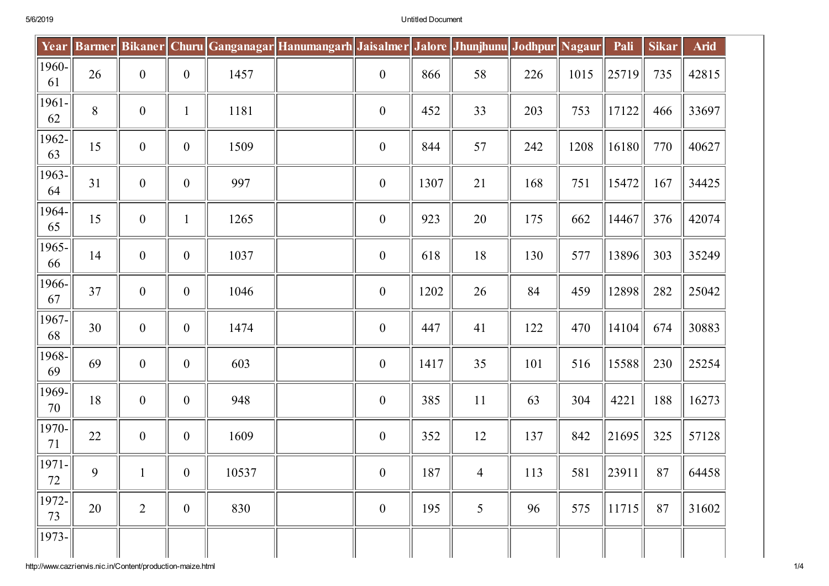| Year        |    |                  |                  |       | Barmer Bikaner   Churu   Ganganagar Hanumangarh   Jaisalmer   Jalore   Jhunjhunu   Jodhpur   Nagaur |                  |      |                |     |      | Pali  | <b>Sikar</b> | <b>Arid</b> |
|-------------|----|------------------|------------------|-------|-----------------------------------------------------------------------------------------------------|------------------|------|----------------|-----|------|-------|--------------|-------------|
| 1960-<br>61 | 26 | $\boldsymbol{0}$ | $\boldsymbol{0}$ | 1457  |                                                                                                     | $\boldsymbol{0}$ | 866  | 58             | 226 | 1015 | 25719 | 735          | 42815       |
| 1961-<br>62 | 8  | $\boldsymbol{0}$ | $\mathbf{1}$     | 1181  |                                                                                                     | $\boldsymbol{0}$ | 452  | 33             | 203 | 753  | 17122 | 466          | 33697       |
| 1962-<br>63 | 15 | $\boldsymbol{0}$ | $\boldsymbol{0}$ | 1509  |                                                                                                     | $\boldsymbol{0}$ | 844  | 57             | 242 | 1208 | 16180 | 770          | 40627       |
| 1963-<br>64 | 31 | $\boldsymbol{0}$ | $\boldsymbol{0}$ | 997   |                                                                                                     | $\boldsymbol{0}$ | 1307 | 21             | 168 | 751  | 15472 | 167          | 34425       |
| 1964-<br>65 | 15 | $\boldsymbol{0}$ | $\mathbf{1}$     | 1265  |                                                                                                     | $\boldsymbol{0}$ | 923  | 20             | 175 | 662  | 14467 | 376          | 42074       |
| 1965-<br>66 | 14 | $\boldsymbol{0}$ | $\boldsymbol{0}$ | 1037  |                                                                                                     | $\boldsymbol{0}$ | 618  | 18             | 130 | 577  | 13896 | 303          | 35249       |
| 1966-<br>67 | 37 | $\mathbf{0}$     | $\boldsymbol{0}$ | 1046  |                                                                                                     | $\boldsymbol{0}$ | 1202 | 26             | 84  | 459  | 12898 | 282          | 25042       |
| 1967-<br>68 | 30 | $\boldsymbol{0}$ | $\boldsymbol{0}$ | 1474  |                                                                                                     | $\boldsymbol{0}$ | 447  | 41             | 122 | 470  | 14104 | 674          | 30883       |
| 1968-<br>69 | 69 | $\boldsymbol{0}$ | $\boldsymbol{0}$ | 603   |                                                                                                     | $\boldsymbol{0}$ | 1417 | 35             | 101 | 516  | 15588 | 230          | 25254       |
| 1969-<br>70 | 18 | $\boldsymbol{0}$ | $\boldsymbol{0}$ | 948   |                                                                                                     | $\boldsymbol{0}$ | 385  | 11             | 63  | 304  | 4221  | 188          | 16273       |
| 1970-<br>71 | 22 | $\boldsymbol{0}$ | $\boldsymbol{0}$ | 1609  |                                                                                                     | $\boldsymbol{0}$ | 352  | 12             | 137 | 842  | 21695 | 325          | 57128       |
| 1971-<br>72 | 9  |                  | $\boldsymbol{0}$ | 10537 |                                                                                                     | $\boldsymbol{0}$ | 187  | $\overline{4}$ | 113 | 581  | 23911 | 87           | 64458       |
| 1972-<br>73 | 20 | $\overline{2}$   | $\boldsymbol{0}$ | 830   |                                                                                                     | $\boldsymbol{0}$ | 195  | 5              | 96  | 575  | 11715 | 87           | 31602       |
| 1973-       |    |                  |                  |       |                                                                                                     |                  |      |                |     |      |       |              |             |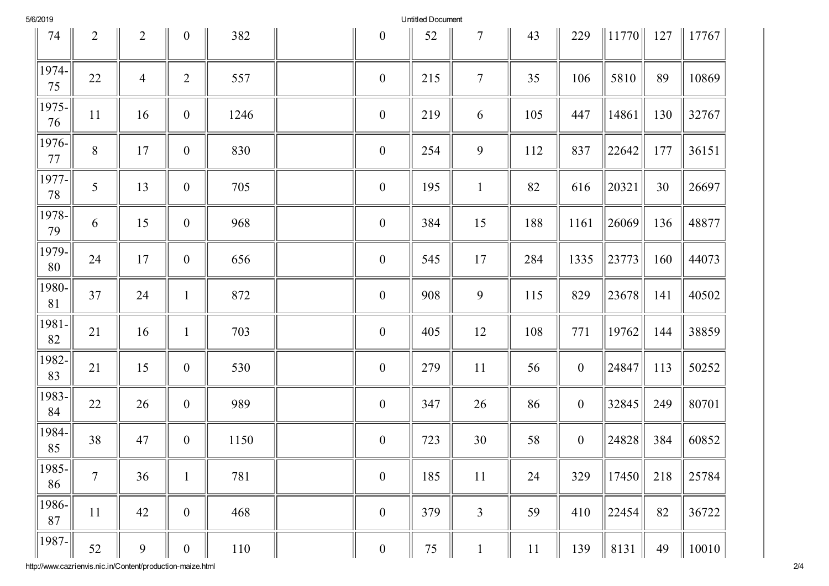| 5/6/2019 |  |
|----------|--|
|----------|--|

Untitled Document

| 74              | $\overline{2}$ | $\overline{2}$ | $\boldsymbol{0}$ | 382  | $\boldsymbol{0}$ | 52  | 7              | 43  | 229              | $\ 11770\ $ | 127 | $\  17767$ |
|-----------------|----------------|----------------|------------------|------|------------------|-----|----------------|-----|------------------|-------------|-----|------------|
| 1974-<br>75     | 22             | $\overline{4}$ | $\overline{2}$   | 557  | $\boldsymbol{0}$ | 215 | $\overline{7}$ | 35  | 106              | 5810        | 89  | 10869      |
| 1975-<br>76     | 11             | 16             | $\boldsymbol{0}$ | 1246 | $\boldsymbol{0}$ | 219 | 6              | 105 | 447              | 14861       | 130 | 32767      |
| 1976-<br>77     | 8              | 17             | $\boldsymbol{0}$ | 830  | $\boldsymbol{0}$ | 254 | 9              | 112 | 837              | 22642       | 177 | 36151      |
| 1977-<br>78     | 5              | 13             | $\boldsymbol{0}$ | 705  | $\boldsymbol{0}$ | 195 | $\mathbf{1}$   | 82  | 616              | 20321       | 30  | 26697      |
| 1978-<br>79     | 6              | 15             | $\boldsymbol{0}$ | 968  | $\boldsymbol{0}$ | 384 | 15             | 188 | 1161             | 26069       | 136 | 48877      |
| 1979-<br>80     | 24             | 17             | $\boldsymbol{0}$ | 656  | $\boldsymbol{0}$ | 545 | 17             | 284 | 1335             | 23773       | 160 | 44073      |
| 1980-<br>81     | 37             | 24             | $\mathbf{1}$     | 872  | $\boldsymbol{0}$ | 908 | 9              | 115 | 829              | 23678       | 141 | 40502      |
| 1981-<br>82     | 21             | 16             | $\mathbf{1}$     | 703  | $\boldsymbol{0}$ | 405 | 12             | 108 | 771              | 19762       | 144 | 38859      |
| 1982-<br>83     | 21             | 15             | $\boldsymbol{0}$ | 530  | $\boldsymbol{0}$ | 279 | 11             | 56  | $\boldsymbol{0}$ | 24847       | 113 | 50252      |
| 1983-<br>84     | 22             | 26             | $\boldsymbol{0}$ | 989  | $\boldsymbol{0}$ | 347 | 26             | 86  | $\boldsymbol{0}$ | 32845       | 249 | 80701      |
| 1984-<br>85     | 38             | 47             | $\boldsymbol{0}$ | 1150 | $\boldsymbol{0}$ | 723 | 30             | 58  | $\boldsymbol{0}$ | 24828       | 384 | 60852      |
| 1985-<br>86     | $\overline{7}$ | 36             | $\mathbf{1}$     | 781  | $\boldsymbol{0}$ | 185 | 11             | 24  | 329              | 17450       | 218 | 25784      |
| 1986-<br>$87\,$ | 11             | 42             | $\mathbf{0}$     | 468  | $\boldsymbol{0}$ | 379 | $\overline{3}$ | 59  | 410              | 22454       | 82  | 36722      |
| 1987-           | 52             | 9              | $\boldsymbol{0}$ | 110  | $\boldsymbol{0}$ | 75  | $\mathbf{1}$   | 11  | 139              | 8131        | 49  | 10010      |

http://www.cazrienvis.nic.in/Content/production-maize.ht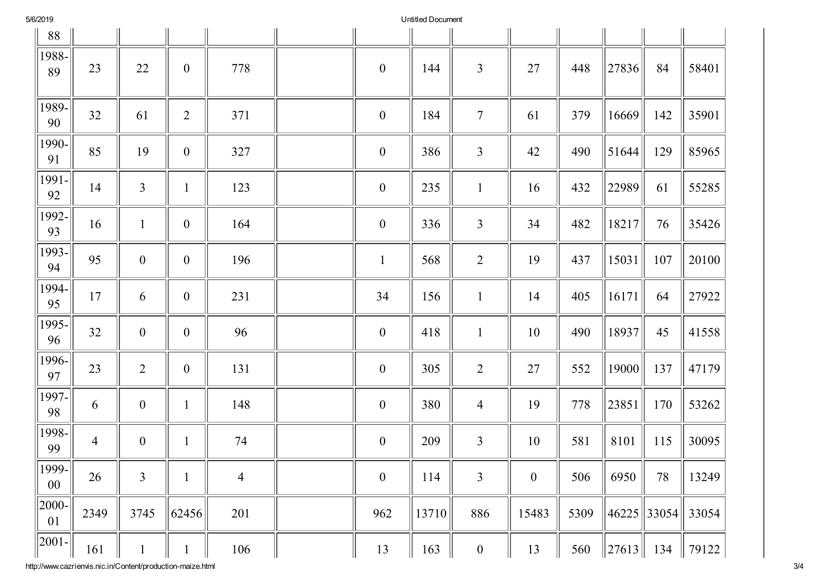| 5/6/2019 |
|----------|
|----------|

Untitled Document

| 88                 |                |                  |                  |                |                  |       |                  |                  |      |                    |     |       |
|--------------------|----------------|------------------|------------------|----------------|------------------|-------|------------------|------------------|------|--------------------|-----|-------|
| 1988-<br>89        | 23             | 22               | $\boldsymbol{0}$ | 778            | $\boldsymbol{0}$ | 144   | $\overline{3}$   | 27               | 448  | 27836              | 84  | 58401 |
| 1989-<br>90        | 32             | 61               | $\sqrt{2}$       | 371            | $\boldsymbol{0}$ | 184   | $\overline{7}$   | 61               | 379  | 16669              | 142 | 35901 |
| 1990-<br>91        | 85             | 19               | $\boldsymbol{0}$ | 327            | $\boldsymbol{0}$ | 386   | $\overline{3}$   | 42               | 490  | 51644              | 129 | 85965 |
| 1991-<br>92        | 14             | $\mathfrak{Z}$   | $\mathbf{1}$     | 123            | $\boldsymbol{0}$ | 235   | $\mathbf{1}$     | 16               | 432  | 22989              | 61  | 55285 |
| 1992-<br>93        | 16             | $\mathbf{1}$     | $\boldsymbol{0}$ | 164            | $\boldsymbol{0}$ | 336   | $\mathfrak{Z}$   | 34               | 482  | 18217              | 76  | 35426 |
| 1993-<br>94        | 95             | $\boldsymbol{0}$ | $\boldsymbol{0}$ | 196            | $\mathbf{1}$     | 568   | $\overline{2}$   | 19               | 437  | 15031              | 107 | 20100 |
| 1994-<br>95        | 17             | 6                | $\boldsymbol{0}$ | 231            | 34               | 156   | $\mathbf{1}$     | 14               | 405  | 16171              | 64  | 27922 |
| 1995-<br>96        | 32             | $\boldsymbol{0}$ | $\boldsymbol{0}$ | 96             | $\boldsymbol{0}$ | 418   | $\mathbf{1}$     | 10               | 490  | 18937              | 45  | 41558 |
| 1996-<br>97        | 23             | $\overline{2}$   | $\boldsymbol{0}$ | 131            | $\boldsymbol{0}$ | 305   | $\overline{2}$   | 27               | 552  | 19000              | 137 | 47179 |
| 1997-<br>98        | 6              | $\boldsymbol{0}$ | $\mathbf{1}$     | 148            | $\boldsymbol{0}$ | 380   | $\overline{4}$   | 19               | 778  | 23851              | 170 | 53262 |
| 1998-<br>99        | $\overline{4}$ | $\boldsymbol{0}$ | $\mathbf{1}$     | 74             | $\boldsymbol{0}$ | 209   | $\overline{3}$   | 10               | 581  | 8101               | 115 | 30095 |
| $1999 -$<br>$00\,$ | $26\,$         | $\mathfrak{Z}$   | $\mathbf{1}$     | $\overline{4}$ | $\boldsymbol{0}$ | 114   | $\mathfrak{Z}$   | $\boldsymbol{0}$ | 506  | 6950               | 78  | 13249 |
| $ 2000-$<br>01     | 2349           | 3745             | 62456            | 201            | 962              | 13710 | 886              | 15483            | 5309 | $\ 46225\ 33054\ $ |     | 33054 |
| $ 2001 -$          | 161            | $\mathbf{1}$     | $\mathbf{1}$     | 106            | 13               | 163   | $\boldsymbol{0}$ | 13               | 560  | $\ 27613\ $        | 134 | 79122 |

http://www.cazrienvis.nic.in/Content/production-maize.ht